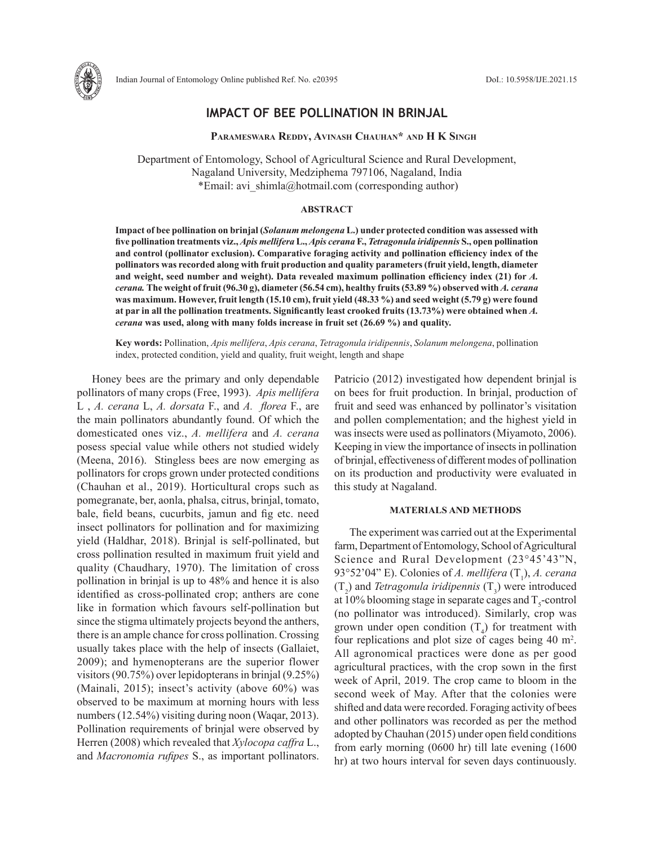

# **IMPACT OF BEE POLLINATION IN BRINJAL**

 **Parameswara Reddy, Avinash Chauhan\* and H K Singh**

Department of Entomology, School of Agricultural Science and Rural Development, Nagaland University, Medziphema 797106, Nagaland, India \*Email: avi\_shimla@hotmail.com (corresponding author)

### **ABSTRACT**

**Impact of bee pollination on brinjal (***Solanum melongena* **L.) under protected condition was assessed with five pollination treatments viz.,** *Apis mellifera* **L.,** *Apis cerana* **F.,** *Tetragonula iridipennis* **S., open pollination and control (pollinator exclusion). Comparative foraging activity and pollination efficiency index of the pollinators was recorded along with fruit production and quality parameters (fruit yield, length, diameter**  and weight, seed number and weight). Data revealed maximum pollination efficiency index (21) for *A*. *cerana.* **The weight of fruit (96.30 g), diameter (56.54 cm), healthy fruits (53.89 %) observed with** *A. cerana* **was maximum. However, fruit length (15.10 cm), fruit yield (48.33 %) and seed weight (5.79 g) were found at par in all the pollination treatments. Significantly least crooked fruits (13.73%) were obtained when** *A. cerana* **was used, along with many folds increase in fruit set (26.69 %) and quality.**

**Key words:** Pollination, *Apis mellifera*, *Apis cerana*, *Tetragonula iridipennis*, *Solanum melongena*, pollination index, protected condition, yield and quality, fruit weight, length and shape

Honey bees are the primary and only dependable pollinators of many crops (Free, 1993). *Apis mellifera*  L , *A. cerana* L, *A. dorsata* F., and *A. florea* F., are the main pollinators abundantly found. Of which the domesticated ones viz., *A. mellifera* and *A. cerana* posess special value while others not studied widely (Meena, 2016). Stingless bees are now emerging as pollinators for crops grown under protected conditions (Chauhan et al., 2019). Horticultural crops such as pomegranate, ber, aonla, phalsa, citrus, brinjal, tomato, bale, field beans, cucurbits, jamun and fig etc. need insect pollinators for pollination and for maximizing yield (Haldhar, 2018). Brinjal is self-pollinated, but cross pollination resulted in maximum fruit yield and quality (Chaudhary, 1970). The limitation of cross pollination in brinjal is up to 48% and hence it is also identified as cross-pollinated crop; anthers are cone like in formation which favours self-pollination but since the stigma ultimately projects beyond the anthers, there is an ample chance for cross pollination. Crossing usually takes place with the help of insects (Gallaiet, 2009); and hymenopterans are the superior flower visitors (90.75%) over lepidopterans in brinjal (9.25%) (Mainali, 2015); insect's activity (above 60%) was observed to be maximum at morning hours with less numbers (12.54%) visiting during noon (Waqar, 2013). Pollination requirements of brinjal were observed by Herren (2008) which revealed that *Xylocopa caffra* L., and *Macronomia rufipes* S., as important pollinators.

Patricio (2012) investigated how dependent brinjal is on bees for fruit production. In brinjal, production of fruit and seed was enhanced by pollinator's visitation and pollen complementation; and the highest yield in was insects were used as pollinators (Miyamoto, 2006). Keeping in view the importance of insects in pollination of brinjal, effectiveness of different modes of pollination on its production and productivity were evaluated in this study at Nagaland.

## **MATERIALS AND METHODS**

The experiment was carried out at the Experimental farm, Department of Entomology, School of Agricultural Science and Rural Development (23°45'43"N,  $93^{\circ}52'04''$  E). Colonies of *A. mellifera* (T<sub>1</sub>), *A. cerana*  $(T_2)$  and *Tetragonula iridipennis*  $(T_3)$  were introduced at 10% blooming stage in separate cages and  $T_s$ -control (no pollinator was introduced). Similarly, crop was grown under open condition  $(T_4)$  for treatment with four replications and plot size of cages being 40 m<sup>2</sup>. All agronomical practices were done as per good agricultural practices, with the crop sown in the first week of April, 2019. The crop came to bloom in the second week of May. After that the colonies were shifted and data were recorded. Foraging activity of bees and other pollinators was recorded as per the method adopted by Chauhan (2015) under open field conditions from early morning (0600 hr) till late evening (1600 hr) at two hours interval for seven days continuously.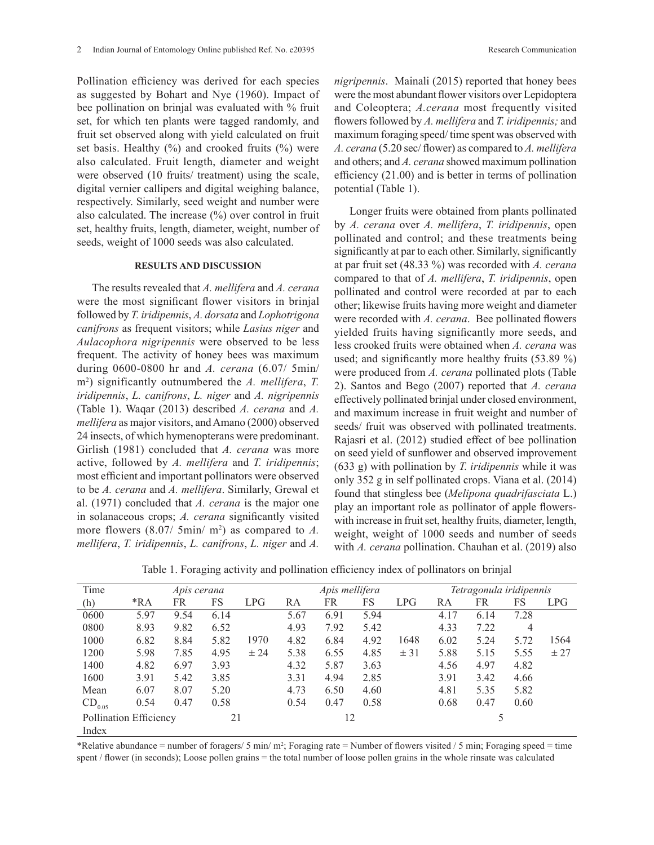Pollination efficiency was derived for each species as suggested by Bohart and Nye (1960). Impact of bee pollination on brinjal was evaluated with % fruit set, for which ten plants were tagged randomly, and fruit set observed along with yield calculated on fruit set basis. Healthy  $(\%)$  and crooked fruits  $(\%)$  were also calculated. Fruit length, diameter and weight were observed (10 fruits/ treatment) using the scale, digital vernier callipers and digital weighing balance, respectively. Similarly, seed weight and number were also calculated. The increase (%) over control in fruit set, healthy fruits, length, diameter, weight, number of seeds, weight of 1000 seeds was also calculated.

### **RESULTS AND DISCUSSION**

The results revealed that *A. mellifera* and *A. cerana*  were the most significant flower visitors in brinjal followed by *T. iridipennis*, *A. dorsata* and *Lophotrigona canifrons* as frequent visitors; while *Lasius niger* and *Aulacophora nigripennis* were observed to be less frequent. The activity of honey bees was maximum during 0600-0800 hr and *A. cerana* (6.07/ 5min/ m2 ) significantly outnumbered the *A. mellifera*, *T. iridipennis*, *L. canifrons*, *L. niger* and *A. nigripennis* (Table 1). Waqar (2013) described *A. cerana* and *A. mellifera* as major visitors, and Amano (2000) observed 24 insects, of which hymenopterans were predominant. Girlish (1981) concluded that *A. cerana* was more active, followed by *A. mellifera* and *T. iridipennis*; most efficient and important pollinators were observed to be *A. cerana* and *A. mellifera*. Similarly, Grewal et al. (1971) concluded that *A. cerana* is the major one in solanaceous crops; *A. cerana* significantly visited more flowers  $(8.07/5min/m^2)$  as compared to A. *mellifera*, *T. iridipennis*, *L. canifrons*, *L. niger* and *A.* 

*nigripennis*. Mainali (2015) reported that honey bees were the most abundant flower visitors over Lepidoptera and Coleoptera; *A.cerana* most frequently visited flowers followed by *A. mellifera* and *T. iridipennis;* and maximum foraging speed/ time spent was observed with *A. cerana* (5.20 sec/ flower) as compared to *A. mellifera* and others; and *A. cerana* showed maximum pollination efficiency (21.00) and is better in terms of pollination potential (Table 1).

Longer fruits were obtained from plants pollinated by *A. cerana* over *A. mellifera*, *T. iridipennis*, open pollinated and control; and these treatments being significantly at par to each other. Similarly, significantly at par fruit set (48.33 %) was recorded with *A. cerana* compared to that of *A. mellifera*, *T. iridipennis*, open pollinated and control were recorded at par to each other; likewise fruits having more weight and diameter were recorded with *A. cerana*. Bee pollinated flowers yielded fruits having significantly more seeds, and less crooked fruits were obtained when *A. cerana* was used; and significantly more healthy fruits (53.89 %) were produced from *A. cerana* pollinated plots (Table 2). Santos and Bego (2007) reported that *A. cerana* effectively pollinated brinjal under closed environment, and maximum increase in fruit weight and number of seeds/ fruit was observed with pollinated treatments. Rajasri et al. (2012) studied effect of bee pollination on seed yield of sunflower and observed improvement (633 g) with pollination by *T. iridipennis* while it was only 352 g in self pollinated crops. Viana et al. (2014) found that stingless bee (*Melipona quadrifasciata* L.) play an important role as pollinator of apple flowerswith increase in fruit set, healthy fruits, diameter, length, weight, weight of 1000 seeds and number of seeds with *A. cerana* pollination. Chauhan et al. (2019) also

| Time                          | Apis cerana |      |      |      | Apis mellifera |      |      |      | Tetragonula iridipennis |      |      |            |
|-------------------------------|-------------|------|------|------|----------------|------|------|------|-------------------------|------|------|------------|
| (h)                           | $*RA$       | FR   | FS   | LPG  | RA             | FR   | FS   | LPG  | RA                      | FR   | FS   | <b>LPG</b> |
| 0600                          | 5.97        | 9.54 | 6.14 |      | 5.67           | 6.91 | 5.94 |      | 4.17                    | 6.14 | 7.28 |            |
| 0800                          | 8.93        | 9.82 | 6.52 |      | 4.93           | 7.92 | 5.42 |      | 4.33                    | 7.22 | 4    |            |
| 1000                          | 6.82        | 8.84 | 5.82 | 1970 | 4.82           | 6.84 | 4.92 | 1648 | 6.02                    | 5.24 | 5.72 | 1564       |
| 1200                          | 5.98        | 7.85 | 4.95 | ± 24 | 5.38           | 6.55 | 4.85 | ± 31 | 5.88                    | 5.15 | 5.55 | ± 27       |
| 1400                          | 4.82        | 6.97 | 3.93 |      | 4.32           | 5.87 | 3.63 |      | 4.56                    | 4.97 | 4.82 |            |
| 1600                          | 3.91        | 5.42 | 3.85 |      | 3.31           | 4.94 | 2.85 |      | 3.91                    | 3.42 | 4.66 |            |
| Mean                          | 6.07        | 8.07 | 5.20 |      | 4.73           | 6.50 | 4.60 |      | 4.81                    | 5.35 | 5.82 |            |
| $CD_{0.05}$                   | 0.54        | 0.47 | 0.58 |      | 0.54           | 0.47 | 0.58 |      | 0.68                    | 0.47 | 0.60 |            |
| <b>Pollination Efficiency</b> |             |      | 21   |      | 12             |      |      |      |                         |      |      |            |
| Index                         |             |      |      |      |                |      |      |      |                         |      |      |            |

Table 1. Foraging activity and pollination efficiency index of pollinators on brinjal

\*Relative abundance = number of foragers/ 5 min/ m<sup>2</sup>; Foraging rate = Number of flowers visited / 5 min; Foraging speed = time spent / flower (in seconds); Loose pollen grains = the total number of loose pollen grains in the whole rinsate was calculated